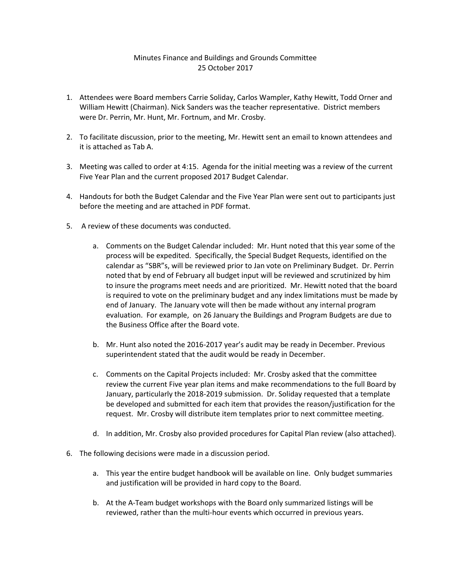## Minutes Finance and Buildings and Grounds Committee 25 October 2017

- 1. Attendees were Board members Carrie Soliday, Carlos Wampler, Kathy Hewitt, Todd Orner and William Hewitt (Chairman). Nick Sanders was the teacher representative. District members were Dr. Perrin, Mr. Hunt, Mr. Fortnum, and Mr. Crosby.
- 2. To facilitate discussion, prior to the meeting, Mr. Hewitt sent an email to known attendees and it is attached as Tab A.
- 3. Meeting was called to order at 4:15. Agenda for the initial meeting was a review of the current Five Year Plan and the current proposed 2017 Budget Calendar.
- 4. Handouts for both the Budget Calendar and the Five Year Plan were sent out to participants just before the meeting and are attached in PDF format.
- 5. A review of these documents was conducted.
	- a. Comments on the Budget Calendar included: Mr. Hunt noted that this year some of the process will be expedited. Specifically, the Special Budget Requests, identified on the calendar as "SBR"s, will be reviewed prior to Jan vote on Preliminary Budget. Dr. Perrin noted that by end of February all budget input will be reviewed and scrutinized by him to insure the programs meet needs and are prioritized. Mr. Hewitt noted that the board is required to vote on the preliminary budget and any index limitations must be made by end of January. The January vote will then be made without any internal program evaluation. For example, on 26 January the Buildings and Program Budgets are due to the Business Office after the Board vote.
	- b. Mr. Hunt also noted the 2016-2017 year's audit may be ready in December. Previous superintendent stated that the audit would be ready in December.
	- c. Comments on the Capital Projects included: Mr. Crosby asked that the committee review the current Five year plan items and make recommendations to the full Board by January, particularly the 2018-2019 submission. Dr. Soliday requested that a template be developed and submitted for each item that provides the reason/justification for the request. Mr. Crosby will distribute item templates prior to next committee meeting.
	- d. In addition, Mr. Crosby also provided procedures for Capital Plan review (also attached).
- 6. The following decisions were made in a discussion period.
	- a. This year the entire budget handbook will be available on line. Only budget summaries and justification will be provided in hard copy to the Board.
	- b. At the A-Team budget workshops with the Board only summarized listings will be reviewed, rather than the multi-hour events which occurred in previous years.